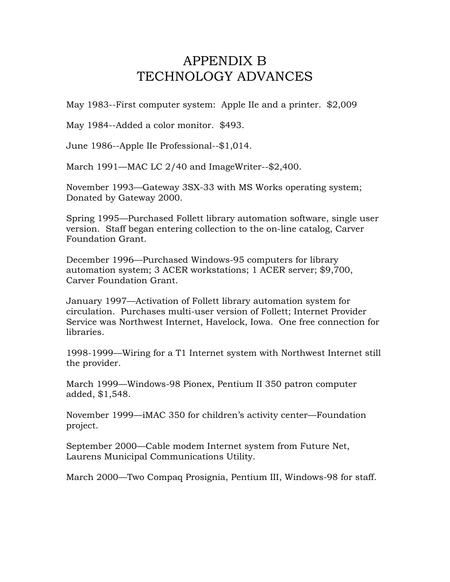## APPENDIX B TECHNOLOGY ADVANCES

May 1983--First computer system: Apple IIe and a printer. \$2,009

May 1984--Added a color monitor. \$493.

June 1986--Apple IIe Professional--\$1,014.

March 1991—MAC LC 2/40 and ImageWriter--\$2,400.

November 1993—Gateway 3SX-33 with MS Works operating system; Donated by Gateway 2000.

Spring 1995—Purchased Follett library automation software, single user version. Staff began entering collection to the on-line catalog, Carver Foundation Grant.

December 1996—Purchased Windows-95 computers for library automation system; 3 ACER workstations; 1 ACER server; \$9,700, Carver Foundation Grant.

January 1997—Activation of Follett library automation system for circulation. Purchases multi-user version of Follett; Internet Provider Service was Northwest Internet, Havelock, Iowa. One free connection for libraries.

1998-1999—Wiring for a T1 Internet system with Northwest Internet still the provider.

March 1999—Windows-98 Pionex, Pentium II 350 patron computer added, \$1,548.

November 1999—iMAC 350 for children's activity center—Foundation project.

September 2000—Cable modem Internet system from Future Net, Laurens Municipal Communications Utility.

March 2000—Two Compaq Prosignia, Pentium III, Windows-98 for staff.